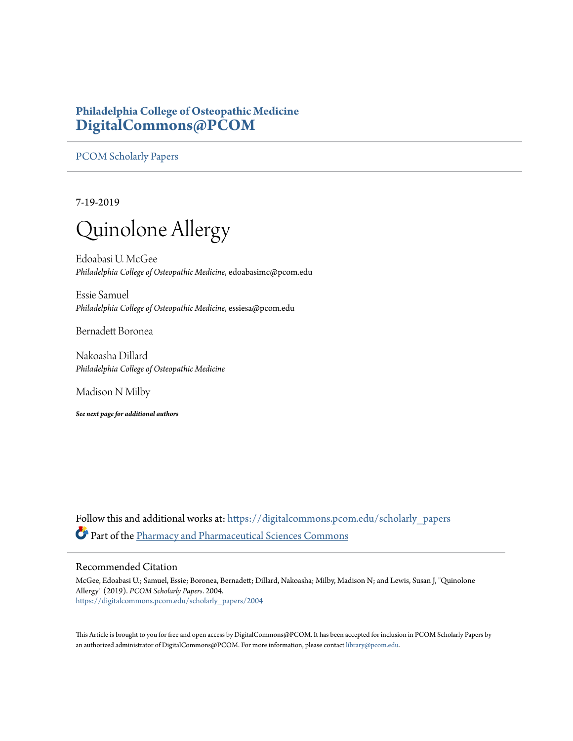# **Philadelphia College of Osteopathic Medicine [DigitalCommons@PCOM](https://digitalcommons.pcom.edu?utm_source=digitalcommons.pcom.edu%2Fscholarly_papers%2F2004&utm_medium=PDF&utm_campaign=PDFCoverPages)**

[PCOM Scholarly Papers](https://digitalcommons.pcom.edu/scholarly_papers?utm_source=digitalcommons.pcom.edu%2Fscholarly_papers%2F2004&utm_medium=PDF&utm_campaign=PDFCoverPages)

7-19-2019

# Quinolone Allergy

Edoabasi U. McGee *Philadelphia College of Osteopathic Medicine*, edoabasimc@pcom.edu

Essie Samuel *Philadelphia College of Osteopathic Medicine*, essiesa@pcom.edu

Bernadett Boronea

Nakoasha Dillard *Philadelphia College of Osteopathic Medicine*

Madison N Milby

*See next page for additional authors*

Follow this and additional works at: [https://digitalcommons.pcom.edu/scholarly\\_papers](https://digitalcommons.pcom.edu/scholarly_papers?utm_source=digitalcommons.pcom.edu%2Fscholarly_papers%2F2004&utm_medium=PDF&utm_campaign=PDFCoverPages) Part of the [Pharmacy and Pharmaceutical Sciences Commons](http://network.bepress.com/hgg/discipline/731?utm_source=digitalcommons.pcom.edu%2Fscholarly_papers%2F2004&utm_medium=PDF&utm_campaign=PDFCoverPages)

# Recommended Citation

McGee, Edoabasi U.; Samuel, Essie; Boronea, Bernadett; Dillard, Nakoasha; Milby, Madison N; and Lewis, Susan J, "Quinolone Allergy" (2019). *PCOM Scholarly Papers*. 2004. [https://digitalcommons.pcom.edu/scholarly\\_papers/2004](https://digitalcommons.pcom.edu/scholarly_papers/2004?utm_source=digitalcommons.pcom.edu%2Fscholarly_papers%2F2004&utm_medium=PDF&utm_campaign=PDFCoverPages)

This Article is brought to you for free and open access by DigitalCommons@PCOM. It has been accepted for inclusion in PCOM Scholarly Papers by an authorized administrator of DigitalCommons@PCOM. For more information, please contact [library@pcom.edu.](mailto:library@pcom.edu)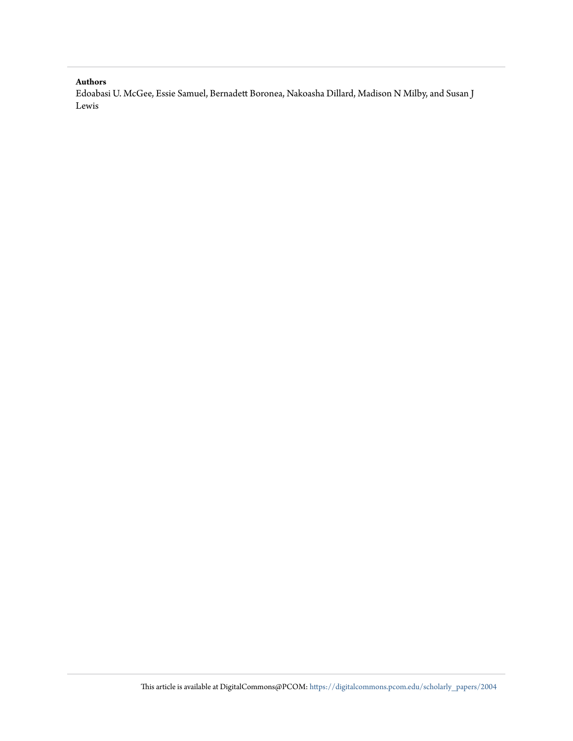## **Authors**

Edoabasi U. McGee, Essie Samuel, Bernadett Boronea, Nakoasha Dillard, Madison N Milby, and Susan J Lewis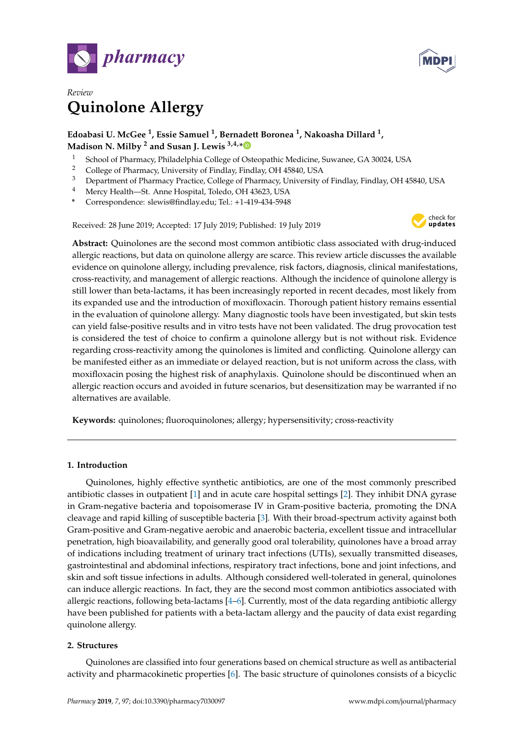



# *Review* **Quinolone Allergy**

# **Edoabasi U. McGee <sup>1</sup> , Essie Samuel <sup>1</sup> , Bernadett Boronea <sup>1</sup> , Nakoasha Dillard <sup>1</sup> , Madison N. Milby <sup>2</sup> and Susan J. Lewis 3,4,[\\*](https://orcid.org/0000-0002-9876-2948)**

- <sup>1</sup> School of Pharmacy, Philadelphia College of Osteopathic Medicine, Suwanee, GA 30024, USA<br><sup>2</sup> College of Pharmacy, University of Findlay, Findlay, OH 45840, USA
- <sup>2</sup> College of Pharmacy, University of Findlay, Findlay, OH 45840, USA<br><sup>3</sup> Department of Pharmacy Practice, College of Pharmacy University
- <sup>3</sup> Department of Pharmacy Practice, College of Pharmacy, University of Findlay, Findlay, OH 45840, USA
- <sup>4</sup> Mercy Health—St. Anne Hospital, Toledo, OH 43623, USA
- **\*** Correspondence: slewis@findlay.edu; Tel.: +1-419-434-5948

Received: 28 June 2019; Accepted: 17 July 2019; Published: 19 July 2019



**Abstract:** Quinolones are the second most common antibiotic class associated with drug-induced allergic reactions, but data on quinolone allergy are scarce. This review article discusses the available evidence on quinolone allergy, including prevalence, risk factors, diagnosis, clinical manifestations, cross-reactivity, and management of allergic reactions. Although the incidence of quinolone allergy is still lower than beta-lactams, it has been increasingly reported in recent decades, most likely from its expanded use and the introduction of moxifloxacin. Thorough patient history remains essential in the evaluation of quinolone allergy. Many diagnostic tools have been investigated, but skin tests can yield false-positive results and in vitro tests have not been validated. The drug provocation test is considered the test of choice to confirm a quinolone allergy but is not without risk. Evidence regarding cross-reactivity among the quinolones is limited and conflicting. Quinolone allergy can be manifested either as an immediate or delayed reaction, but is not uniform across the class, with moxifloxacin posing the highest risk of anaphylaxis. Quinolone should be discontinued when an allergic reaction occurs and avoided in future scenarios, but desensitization may be warranted if no alternatives are available.

**Keywords:** quinolones; fluoroquinolones; allergy; hypersensitivity; cross-reactivity

# **1. Introduction**

Quinolones, highly effective synthetic antibiotics, are one of the most commonly prescribed antibiotic classes in outpatient [\[1\]](#page-10-0) and in acute care hospital settings [\[2\]](#page-10-1). They inhibit DNA gyrase in Gram-negative bacteria and topoisomerase IV in Gram-positive bacteria, promoting the DNA cleavage and rapid killing of susceptible bacteria [\[3\]](#page-10-2). With their broad-spectrum activity against both Gram-positive and Gram-negative aerobic and anaerobic bacteria, excellent tissue and intracellular penetration, high bioavailability, and generally good oral tolerability, quinolones have a broad array of indications including treatment of urinary tract infections (UTIs), sexually transmitted diseases, gastrointestinal and abdominal infections, respiratory tract infections, bone and joint infections, and skin and soft tissue infections in adults. Although considered well-tolerated in general, quinolones can induce allergic reactions. In fact, they are the second most common antibiotics associated with allergic reactions, following beta-lactams [\[4](#page-10-3)[–6\]](#page-10-4). Currently, most of the data regarding antibiotic allergy have been published for patients with a beta-lactam allergy and the paucity of data exist regarding quinolone allergy.

# **2. Structures**

Quinolones are classified into four generations based on chemical structure as well as antibacterial activity and pharmacokinetic properties [\[6\]](#page-10-4). The basic structure of quinolones consists of a bicyclic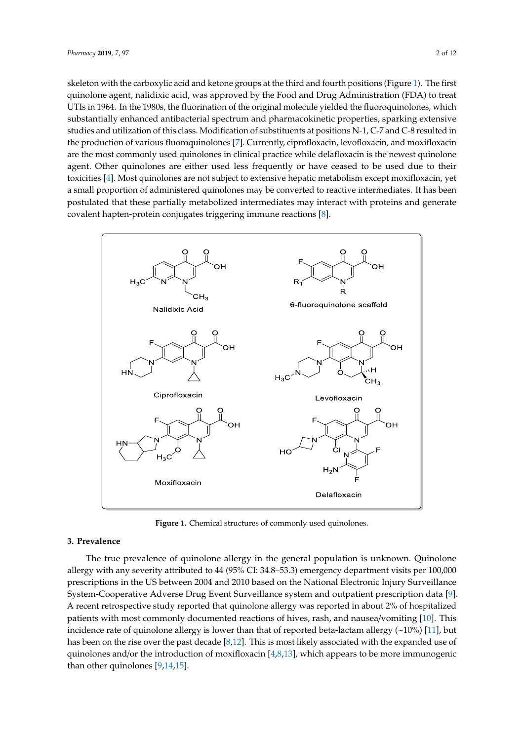skeleton with the carboxylic acid and ketone groups at the third and fourth positions (Figure 1). The first quinolone agent, nalidixic acid, was approved by the Food and Drug Administration (FDA) to treat UTIs in 1964. In the 1980s, the fluorination of the original molecule yielded the fluoroquinolones, which substantially enhanced antibacterial spectrum and pharmacokinetic properties, sparking extensive<br>substantially enhanced antibacterial spectrum and pharmacokinetic properties, sparking extensive studies and utilization of this class. Modification of substituents at positions N-1, C-7 and C-8 resulted in the production of various fluoroquinolones  $[7]$ . Currently, ciprofloxacin, levofloxacin, and moxifloxacin are the production of various fluoroquinolones  $[7]$ . Currently, ciprofloxacin, levofloxacin, and moxifloxacin are the most commonly used quinolones in clinical practice while delafloxacin is the newest quinolone are the most commonly used quinolones in clinical practice while delafloxacin is the newest quinolone agent. Other quinolones are either used less frequently or have ceased to be used due to their toxicities [\[4\]](#page-10-3). Most quinolones are not subject to extensive hepatic metabolism except moxifloxacin, yet a small proportion of administered quinolones may be converted to reactive intermediates. It has been postulated that these partially metabolized intermediates may interact with proteins and generate  $\alpha$  covalent hapten-protein conjugates triggering immune reactions [\[8\]](#page-10-6).

<span id="page-3-0"></span>

**Figure 1.** Chemical structures of commonly used quinolones. **Figure 1.** Chemical structures of commonly used quinolones.

#### **3. Prevalence**

allergy with any severity attributed to 44 (95% CI: 34.8–53.3) emergency department visits per 100,000 prescriptions in the US between 2004 and 2010 based on the National Electronic Injury Surveillance System-Cooperative Adverse Drug Event Surveillance system and outpatient prescription data [9]. A recent retrospective study reported that quinolone allergy was reported in about 2% of hospitalized patients with most commonly documented reactions of hives, rash, and nausea/vomiting [\[10\]](#page-10-8). This incidence rate of quinolone allergy is lower than that of reported beta-lactam allergy (~10%) [\[11\]](#page-10-9), but has been on the rise over the past decade [\[8](#page-10-6)[,12\]](#page-10-10). This is most likely associated with the expanded use of  $\sim 1$ quinolones and/or the introduction of moxifloxacin [\[4,](#page-10-3)[8,](#page-10-6)[13\]](#page-10-11), which appears to be more immunogenic<br>than ether quinolones [0,14,15]  $\mathbf{I}$  associated use of the expanded use of  $\mathbf{I}$ The true prevalence of quinolone allergy in the general population is unknown. Quinolone than other quinolones [\[9,](#page-10-7)[14,](#page-10-12)[15\]](#page-10-13).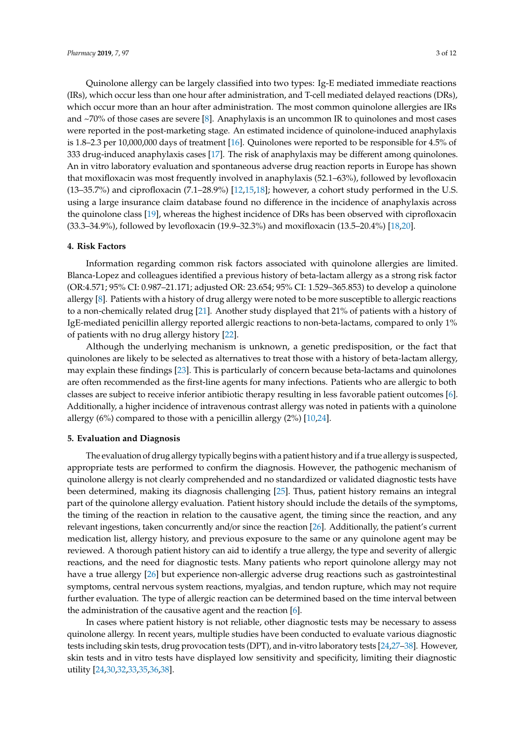Quinolone allergy can be largely classified into two types: Ig-E mediated immediate reactions (IRs), which occur less than one hour after administration, and T-cell mediated delayed reactions (DRs), which occur more than an hour after administration. The most common quinolone allergies are IRs and ~70% of those cases are severe [\[8\]](#page-10-6). Anaphylaxis is an uncommon IR to quinolones and most cases were reported in the post-marketing stage. An estimated incidence of quinolone-induced anaphylaxis is 1.8–2.3 per 10,000,000 days of treatment [\[16\]](#page-10-14). Quinolones were reported to be responsible for 4.5% of 333 drug-induced anaphylaxis cases [\[17\]](#page-10-15). The risk of anaphylaxis may be different among quinolones. An in vitro laboratory evaluation and spontaneous adverse drug reaction reports in Europe has shown that moxifloxacin was most frequently involved in anaphylaxis (52.1–63%), followed by levofloxacin (13–35.7%) and ciprofloxacin (7.1–28.9%) [\[12,](#page-10-10)[15](#page-10-13)[,18\]](#page-10-16); however, a cohort study performed in the U.S. using a large insurance claim database found no difference in the incidence of anaphylaxis across the quinolone class [\[19\]](#page-10-17), whereas the highest incidence of DRs has been observed with ciprofloxacin (33.3–34.9%), followed by levofloxacin (19.9–32.3%) and moxifloxacin (13.5–20.4%) [\[18,](#page-10-16)[20\]](#page-11-0).

#### **4. Risk Factors**

Information regarding common risk factors associated with quinolone allergies are limited. Blanca-Lopez and colleagues identified a previous history of beta-lactam allergy as a strong risk factor (OR:4.571; 95% CI: 0.987–21.171; adjusted OR: 23.654; 95% CI: 1.529–365.853) to develop a quinolone allergy [\[8\]](#page-10-6). Patients with a history of drug allergy were noted to be more susceptible to allergic reactions to a non-chemically related drug [\[21\]](#page-11-1). Another study displayed that 21% of patients with a history of IgE-mediated penicillin allergy reported allergic reactions to non-beta-lactams, compared to only 1% of patients with no drug allergy history [\[22\]](#page-11-2).

Although the underlying mechanism is unknown, a genetic predisposition, or the fact that quinolones are likely to be selected as alternatives to treat those with a history of beta-lactam allergy, may explain these findings [\[23\]](#page-11-3). This is particularly of concern because beta-lactams and quinolones are often recommended as the first-line agents for many infections. Patients who are allergic to both classes are subject to receive inferior antibiotic therapy resulting in less favorable patient outcomes [\[6\]](#page-10-4). Additionally, a higher incidence of intravenous contrast allergy was noted in patients with a quinolone allergy  $(6%)$  compared to those with a penicillin allergy  $(2%)$  [\[10](#page-10-8)[,24\]](#page-11-4).

#### **5. Evaluation and Diagnosis**

The evaluation of drug allergy typically begins with a patient history and if a true allergy is suspected, appropriate tests are performed to confirm the diagnosis. However, the pathogenic mechanism of quinolone allergy is not clearly comprehended and no standardized or validated diagnostic tests have been determined, making its diagnosis challenging [\[25\]](#page-11-5). Thus, patient history remains an integral part of the quinolone allergy evaluation. Patient history should include the details of the symptoms, the timing of the reaction in relation to the causative agent, the timing since the reaction, and any relevant ingestions, taken concurrently and/or since the reaction [\[26\]](#page-11-6). Additionally, the patient's current medication list, allergy history, and previous exposure to the same or any quinolone agent may be reviewed. A thorough patient history can aid to identify a true allergy, the type and severity of allergic reactions, and the need for diagnostic tests. Many patients who report quinolone allergy may not have a true allergy [\[26\]](#page-11-6) but experience non-allergic adverse drug reactions such as gastrointestinal symptoms, central nervous system reactions, myalgias, and tendon rupture, which may not require further evaluation. The type of allergic reaction can be determined based on the time interval between the administration of the causative agent and the reaction [\[6\]](#page-10-4).

In cases where patient history is not reliable, other diagnostic tests may be necessary to assess quinolone allergy. In recent years, multiple studies have been conducted to evaluate various diagnostic tests including skin tests, drug provocation tests (DPT), and in-vitro laboratory tests [\[24,](#page-11-4)[27–](#page-11-7)[38\]](#page-11-8). However, skin tests and in vitro tests have displayed low sensitivity and specificity, limiting their diagnostic utility [\[24,](#page-11-4)[30](#page-11-9)[,32,](#page-11-10)[33](#page-11-11)[,35](#page-11-12)[,36,](#page-11-13)[38\]](#page-11-8).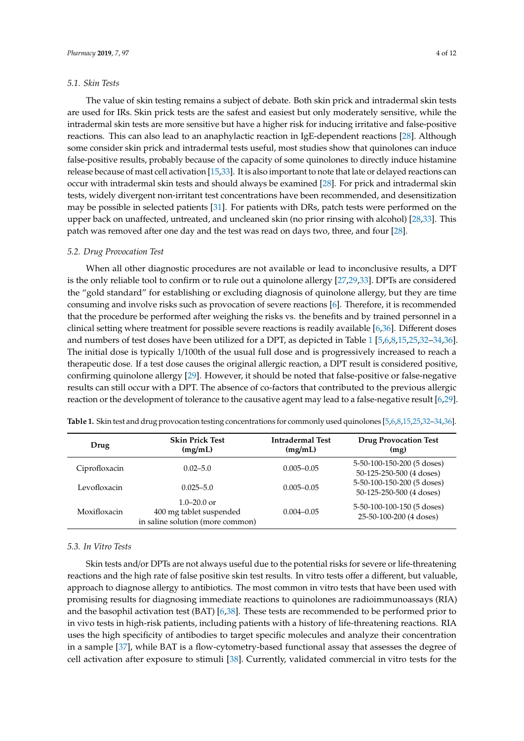#### *5.1. Skin Tests*

The value of skin testing remains a subject of debate. Both skin prick and intradermal skin tests are used for IRs. Skin prick tests are the safest and easiest but only moderately sensitive, while the intradermal skin tests are more sensitive but have a higher risk for inducing irritative and false-positive reactions. This can also lead to an anaphylactic reaction in IgE-dependent reactions [\[28\]](#page-11-14). Although some consider skin prick and intradermal tests useful, most studies show that quinolones can induce false-positive results, probably because of the capacity of some quinolones to directly induce histamine release because of mast cell activation [\[15,](#page-10-13)[33\]](#page-11-11). It is also important to note that late or delayed reactions can occur with intradermal skin tests and should always be examined [\[28\]](#page-11-14). For prick and intradermal skin tests, widely divergent non-irritant test concentrations have been recommended, and desensitization may be possible in selected patients [\[31\]](#page-11-15). For patients with DRs, patch tests were performed on the upper back on unaffected, untreated, and uncleaned skin (no prior rinsing with alcohol) [\[28,](#page-11-14)[33\]](#page-11-11). This patch was removed after one day and the test was read on days two, three, and four [\[28\]](#page-11-14).

#### *5.2. Drug Provocation Test*

When all other diagnostic procedures are not available or lead to inconclusive results, a DPT is the only reliable tool to confirm or to rule out a quinolone allergy [\[27,](#page-11-7)[29,](#page-11-16)[33\]](#page-11-11). DPTs are considered the "gold standard" for establishing or excluding diagnosis of quinolone allergy, but they are time consuming and involve risks such as provocation of severe reactions [\[6\]](#page-10-4). Therefore, it is recommended that the procedure be performed after weighing the risks vs. the benefits and by trained personnel in a clinical setting where treatment for possible severe reactions is readily available [\[6](#page-10-4)[,36\]](#page-11-13). Different doses and numbers of test doses have been utilized for a DPT, as depicted in Table [1](#page-5-0) [\[5,](#page-10-18)[6,](#page-10-4)[8,](#page-10-6)[15,](#page-10-13)[25,](#page-11-5)[32](#page-11-10)[–34,](#page-11-17)[36\]](#page-11-13). The initial dose is typically 1/100th of the usual full dose and is progressively increased to reach a therapeutic dose. If a test dose causes the original allergic reaction, a DPT result is considered positive, confirming quinolone allergy [\[29\]](#page-11-16). However, it should be noted that false-positive or false-negative results can still occur with a DPT. The absence of co-factors that contributed to the previous allergic reaction or the development of tolerance to the causative agent may lead to a false-negative result [\[6](#page-10-4)[,29\]](#page-11-16).

| Drug          | <b>Skin Prick Test</b><br>(mg/mL)                                              | <b>Intradermal Test</b><br>(mg/mL) | <b>Drug Provocation Test</b><br>(mg)                   |
|---------------|--------------------------------------------------------------------------------|------------------------------------|--------------------------------------------------------|
| Ciprofloxacin | $0.02 - 5.0$                                                                   | $0.005 - 0.05$                     | 5-50-100-150-200 (5 doses)<br>50-125-250-500 (4 doses) |
| Levofloxacin  | $0.025 - 5.0$                                                                  | $0.005 - 0.05$                     | 5-50-100-150-200 (5 doses)<br>50-125-250-500 (4 doses) |
| Moxifloxacin  | $1.0 - 20.0$ or<br>400 mg tablet suspended<br>in saline solution (more common) | $0.004 - 0.05$                     | 5-50-100-100-150 (5 doses)<br>25-50-100-200 (4 doses)  |

<span id="page-5-0"></span>**Table 1.** Skin test and drug provocation testing concentrations for commonly used quinolones [\[5](#page-10-18)[,6](#page-10-4)[,8,](#page-10-6)[15,](#page-10-13)[25](#page-11-5)[,32](#page-11-10)[–34](#page-11-17)[,36\]](#page-11-13).

#### *5.3. In Vitro Tests*

Skin tests and/or DPTs are not always useful due to the potential risks for severe or life-threatening reactions and the high rate of false positive skin test results. In vitro tests offer a different, but valuable, approach to diagnose allergy to antibiotics. The most common in vitro tests that have been used with promising results for diagnosing immediate reactions to quinolones are radioimmunoassays (RIA) and the basophil activation test (BAT) [\[6,](#page-10-4)[38\]](#page-11-8). These tests are recommended to be performed prior to in vivo tests in high-risk patients, including patients with a history of life-threatening reactions. RIA uses the high specificity of antibodies to target specific molecules and analyze their concentration in a sample [\[37\]](#page-11-18), while BAT is a flow-cytometry-based functional assay that assesses the degree of cell activation after exposure to stimuli [\[38\]](#page-11-8). Currently, validated commercial in vitro tests for the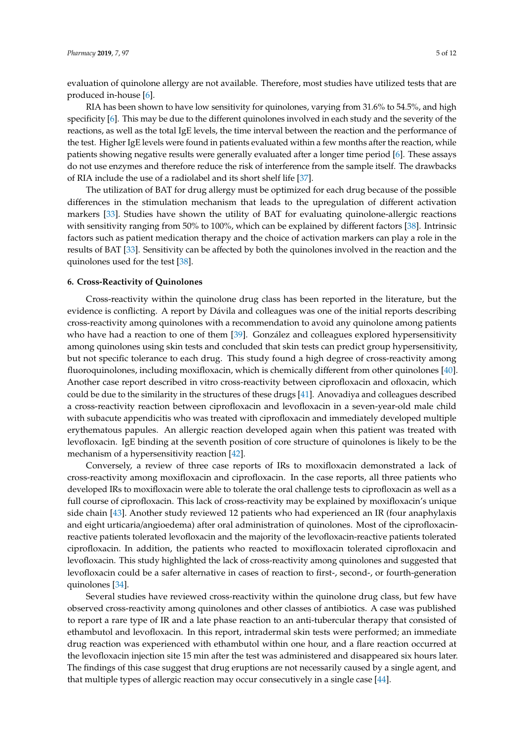evaluation of quinolone allergy are not available. Therefore, most studies have utilized tests that are produced in-house [\[6\]](#page-10-4).

RIA has been shown to have low sensitivity for quinolones, varying from 31.6% to 54.5%, and high specificity [\[6\]](#page-10-4). This may be due to the different quinolones involved in each study and the severity of the reactions, as well as the total IgE levels, the time interval between the reaction and the performance of the test. Higher IgE levels were found in patients evaluated within a few months after the reaction, while patients showing negative results were generally evaluated after a longer time period [\[6\]](#page-10-4). These assays do not use enzymes and therefore reduce the risk of interference from the sample itself. The drawbacks of RIA include the use of a radiolabel and its short shelf life [\[37\]](#page-11-18).

The utilization of BAT for drug allergy must be optimized for each drug because of the possible differences in the stimulation mechanism that leads to the upregulation of different activation markers [\[33\]](#page-11-11). Studies have shown the utility of BAT for evaluating quinolone-allergic reactions with sensitivity ranging from 50% to 100%, which can be explained by different factors [\[38\]](#page-11-8). Intrinsic factors such as patient medication therapy and the choice of activation markers can play a role in the results of BAT [\[33\]](#page-11-11). Sensitivity can be affected by both the quinolones involved in the reaction and the quinolones used for the test [\[38\]](#page-11-8).

#### **6. Cross-Reactivity of Quinolones**

Cross-reactivity within the quinolone drug class has been reported in the literature, but the evidence is conflicting. A report by Dávila and colleagues was one of the initial reports describing cross-reactivity among quinolones with a recommendation to avoid any quinolone among patients who have had a reaction to one of them [\[39\]](#page-11-19). González and colleagues explored hypersensitivity among quinolones using skin tests and concluded that skin tests can predict group hypersensitivity, but not specific tolerance to each drug. This study found a high degree of cross-reactivity among fluoroquinolones, including moxifloxacin, which is chemically different from other quinolones [\[40\]](#page-11-20). Another case report described in vitro cross-reactivity between ciprofloxacin and ofloxacin, which could be due to the similarity in the structures of these drugs [\[41\]](#page-12-0). Anovadiya and colleagues described a cross-reactivity reaction between ciprofloxacin and levofloxacin in a seven-year-old male child with subacute appendicitis who was treated with ciprofloxacin and immediately developed multiple erythematous papules. An allergic reaction developed again when this patient was treated with levofloxacin. IgE binding at the seventh position of core structure of quinolones is likely to be the mechanism of a hypersensitivity reaction [\[42\]](#page-12-1).

Conversely, a review of three case reports of IRs to moxifloxacin demonstrated a lack of cross-reactivity among moxifloxacin and ciprofloxacin. In the case reports, all three patients who developed IRs to moxifloxacin were able to tolerate the oral challenge tests to ciprofloxacin as well as a full course of ciprofloxacin. This lack of cross-reactivity may be explained by moxifloxacin's unique side chain [\[43\]](#page-12-2). Another study reviewed 12 patients who had experienced an IR (four anaphylaxis and eight urticaria/angioedema) after oral administration of quinolones. Most of the ciprofloxacinreactive patients tolerated levofloxacin and the majority of the levofloxacin-reactive patients tolerated ciprofloxacin. In addition, the patients who reacted to moxifloxacin tolerated ciprofloxacin and levofloxacin. This study highlighted the lack of cross-reactivity among quinolones and suggested that levofloxacin could be a safer alternative in cases of reaction to first-, second-, or fourth-generation quinolones [\[34\]](#page-11-17).

Several studies have reviewed cross-reactivity within the quinolone drug class, but few have observed cross-reactivity among quinolones and other classes of antibiotics. A case was published to report a rare type of IR and a late phase reaction to an anti-tubercular therapy that consisted of ethambutol and levofloxacin. In this report, intradermal skin tests were performed; an immediate drug reaction was experienced with ethambutol within one hour, and a flare reaction occurred at the levofloxacin injection site 15 min after the test was administered and disappeared six hours later. The findings of this case suggest that drug eruptions are not necessarily caused by a single agent, and that multiple types of allergic reaction may occur consecutively in a single case [\[44\]](#page-12-3).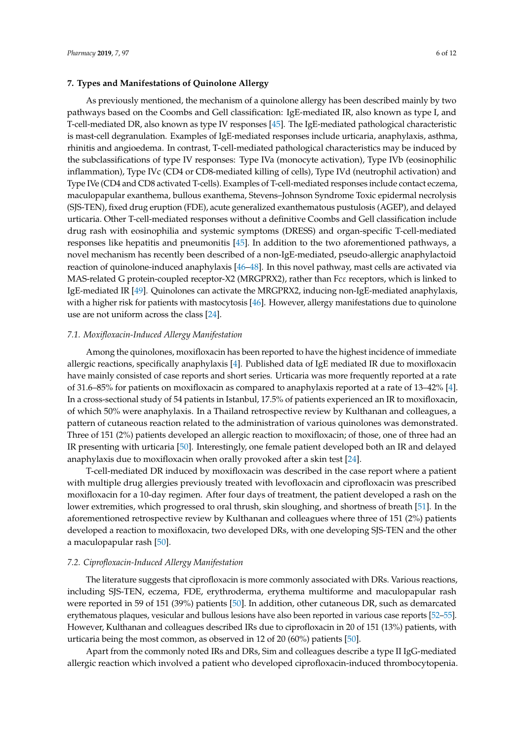As previously mentioned, the mechanism of a quinolone allergy has been described mainly by two pathways based on the Coombs and Gell classification: IgE-mediated IR, also known as type I, and T-cell-mediated DR, also known as type IV responses [\[45\]](#page-12-4). The IgE-mediated pathological characteristic is mast-cell degranulation. Examples of IgE-mediated responses include urticaria, anaphylaxis, asthma, rhinitis and angioedema. In contrast, T-cell-mediated pathological characteristics may be induced by the subclassifications of type IV responses: Type IVa (monocyte activation), Type IVb (eosinophilic inflammation), Type IVc (CD4 or CD8-mediated killing of cells), Type IVd (neutrophil activation) and Type IVe (CD4 and CD8 activated T-cells). Examples of T-cell-mediated responses include contact eczema, maculopapular exanthema, bullous exanthema, Stevens–Johnson Syndrome Toxic epidermal necrolysis (SJS-TEN), fixed drug eruption (FDE), acute generalized exanthematous pustulosis (AGEP), and delayed urticaria. Other T-cell-mediated responses without a definitive Coombs and Gell classification include drug rash with eosinophilia and systemic symptoms (DRESS) and organ-specific T-cell-mediated responses like hepatitis and pneumonitis [\[45\]](#page-12-4). In addition to the two aforementioned pathways, a novel mechanism has recently been described of a non-IgE-mediated, pseudo-allergic anaphylactoid reaction of quinolone-induced anaphylaxis [\[46](#page-12-5)[–48\]](#page-12-6). In this novel pathway, mast cells are activated via MAS-related G protein-coupled receptor-X2 (MRGPRX2), rather than Fc $\varepsilon$  receptors, which is linked to IgE-mediated IR [\[49\]](#page-12-7). Quinolones can activate the MRGPRX2, inducing non-IgE-mediated anaphylaxis, with a higher risk for patients with mastocytosis [\[46\]](#page-12-5). However, allergy manifestations due to quinolone use are not uniform across the class [\[24\]](#page-11-4).

#### *7.1. Moxifloxacin-Induced Allergy Manifestation*

Among the quinolones, moxifloxacin has been reported to have the highest incidence of immediate allergic reactions, specifically anaphylaxis [\[4\]](#page-10-3). Published data of IgE mediated IR due to moxifloxacin have mainly consisted of case reports and short series. Urticaria was more frequently reported at a rate of 31.6–85% for patients on moxifloxacin as compared to anaphylaxis reported at a rate of 13–42% [\[4\]](#page-10-3). In a cross-sectional study of 54 patients in Istanbul, 17.5% of patients experienced an IR to moxifloxacin, of which 50% were anaphylaxis. In a Thailand retrospective review by Kulthanan and colleagues, a pattern of cutaneous reaction related to the administration of various quinolones was demonstrated. Three of 151 (2%) patients developed an allergic reaction to moxifloxacin; of those, one of three had an IR presenting with urticaria [\[50\]](#page-12-8). Interestingly, one female patient developed both an IR and delayed anaphylaxis due to moxifloxacin when orally provoked after a skin test [\[24\]](#page-11-4).

T-cell-mediated DR induced by moxifloxacin was described in the case report where a patient with multiple drug allergies previously treated with levofloxacin and ciprofloxacin was prescribed moxifloxacin for a 10-day regimen. After four days of treatment, the patient developed a rash on the lower extremities, which progressed to oral thrush, skin sloughing, and shortness of breath [\[51\]](#page-12-9). In the aforementioned retrospective review by Kulthanan and colleagues where three of 151 (2%) patients developed a reaction to moxifloxacin, two developed DRs, with one developing SJS-TEN and the other a maculopapular rash [\[50\]](#page-12-8).

#### *7.2. Ciprofloxacin-Induced Allergy Manifestation*

The literature suggests that ciprofloxacin is more commonly associated with DRs. Various reactions, including SJS-TEN, eczema, FDE, erythroderma, erythema multiforme and maculopapular rash were reported in 59 of 151 (39%) patients [\[50\]](#page-12-8). In addition, other cutaneous DR, such as demarcated erythematous plaques, vesicular and bullous lesions have also been reported in various case reports [\[52–](#page-12-10)[55\]](#page-12-11). However, Kulthanan and colleagues described IRs due to ciprofloxacin in 20 of 151 (13%) patients, with urticaria being the most common, as observed in 12 of 20 (60%) patients [\[50\]](#page-12-8).

Apart from the commonly noted IRs and DRs, Sim and colleagues describe a type II IgG-mediated allergic reaction which involved a patient who developed ciprofloxacin-induced thrombocytopenia.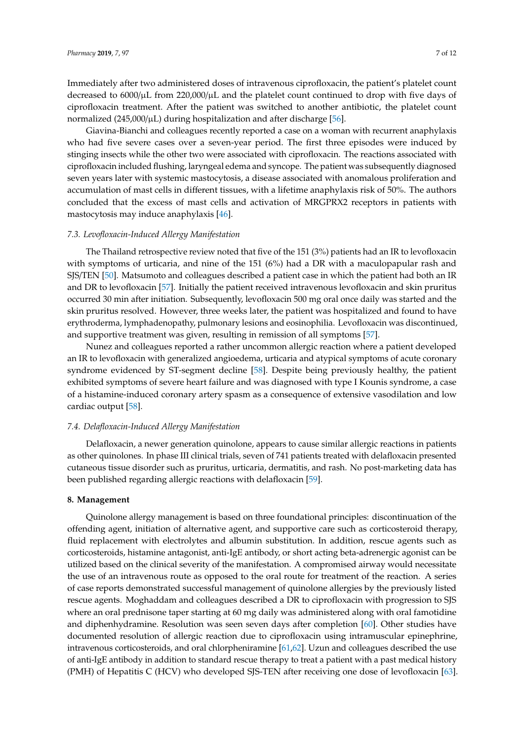Immediately after two administered doses of intravenous ciprofloxacin, the patient's platelet count decreased to  $6000/\mu$ L from 220,000/ $\mu$ L and the platelet count continued to drop with five days of ciprofloxacin treatment. After the patient was switched to another antibiotic, the platelet count normalized (245,000/ $\mu$ L) during hospitalization and after discharge [\[56\]](#page-12-12).

Giavina-Bianchi and colleagues recently reported a case on a woman with recurrent anaphylaxis who had five severe cases over a seven-year period. The first three episodes were induced by stinging insects while the other two were associated with ciprofloxacin. The reactions associated with ciprofloxacin included flushing, laryngeal edema and syncope. The patient was subsequently diagnosed seven years later with systemic mastocytosis, a disease associated with anomalous proliferation and accumulation of mast cells in different tissues, with a lifetime anaphylaxis risk of 50%. The authors concluded that the excess of mast cells and activation of MRGPRX2 receptors in patients with mastocytosis may induce anaphylaxis [\[46\]](#page-12-5).

#### *7.3. Levofloxacin-Induced Allergy Manifestation*

The Thailand retrospective review noted that five of the 151 (3%) patients had an IR to levofloxacin with symptoms of urticaria, and nine of the 151 (6%) had a DR with a maculopapular rash and SJS/TEN [\[50\]](#page-12-8). Matsumoto and colleagues described a patient case in which the patient had both an IR and DR to levofloxacin [\[57\]](#page-12-13). Initially the patient received intravenous levofloxacin and skin pruritus occurred 30 min after initiation. Subsequently, levofloxacin 500 mg oral once daily was started and the skin pruritus resolved. However, three weeks later, the patient was hospitalized and found to have erythroderma, lymphadenopathy, pulmonary lesions and eosinophilia. Levofloxacin was discontinued, and supportive treatment was given, resulting in remission of all symptoms [\[57\]](#page-12-13).

Nunez and colleagues reported a rather uncommon allergic reaction where a patient developed an IR to levofloxacin with generalized angioedema, urticaria and atypical symptoms of acute coronary syndrome evidenced by ST-segment decline [\[58\]](#page-12-14). Despite being previously healthy, the patient exhibited symptoms of severe heart failure and was diagnosed with type I Kounis syndrome, a case of a histamine-induced coronary artery spasm as a consequence of extensive vasodilation and low cardiac output [\[58\]](#page-12-14).

#### *7.4. Delafloxacin-Induced Allergy Manifestation*

Delafloxacin, a newer generation quinolone, appears to cause similar allergic reactions in patients as other quinolones. In phase III clinical trials, seven of 741 patients treated with delafloxacin presented cutaneous tissue disorder such as pruritus, urticaria, dermatitis, and rash. No post-marketing data has been published regarding allergic reactions with delafloxacin [\[59\]](#page-12-15).

#### **8. Management**

Quinolone allergy management is based on three foundational principles: discontinuation of the offending agent, initiation of alternative agent, and supportive care such as corticosteroid therapy, fluid replacement with electrolytes and albumin substitution. In addition, rescue agents such as corticosteroids, histamine antagonist, anti-IgE antibody, or short acting beta-adrenergic agonist can be utilized based on the clinical severity of the manifestation. A compromised airway would necessitate the use of an intravenous route as opposed to the oral route for treatment of the reaction. A series of case reports demonstrated successful management of quinolone allergies by the previously listed rescue agents. Moghaddam and colleagues described a DR to ciprofloxacin with progression to SJS where an oral prednisone taper starting at 60 mg daily was administered along with oral famotidine and diphenhydramine. Resolution was seen seven days after completion [\[60\]](#page-12-16). Other studies have documented resolution of allergic reaction due to ciprofloxacin using intramuscular epinephrine, intravenous corticosteroids, and oral chlorpheniramine [\[61,](#page-12-17)[62\]](#page-12-18). Uzun and colleagues described the use of anti-IgE antibody in addition to standard rescue therapy to treat a patient with a past medical history (PMH) of Hepatitis C (HCV) who developed SJS-TEN after receiving one dose of levofloxacin [\[63\]](#page-13-0).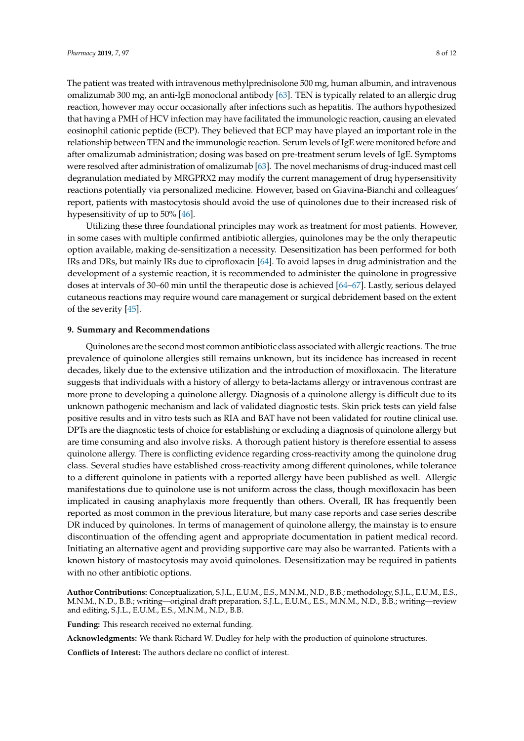The patient was treated with intravenous methylprednisolone 500 mg, human albumin, and intravenous omalizumab 300 mg, an anti-IgE monoclonal antibody [\[63\]](#page-13-0). TEN is typically related to an allergic drug reaction, however may occur occasionally after infections such as hepatitis. The authors hypothesized that having a PMH of HCV infection may have facilitated the immunologic reaction, causing an elevated eosinophil cationic peptide (ECP). They believed that ECP may have played an important role in the relationship between TEN and the immunologic reaction. Serum levels of IgE were monitored before and after omalizumab administration; dosing was based on pre-treatment serum levels of IgE. Symptoms were resolved after administration of omalizumab [\[63\]](#page-13-0). The novel mechanisms of drug-induced mast cell degranulation mediated by MRGPRX2 may modify the current management of drug hypersensitivity reactions potentially via personalized medicine. However, based on Giavina-Bianchi and colleagues' report, patients with mastocytosis should avoid the use of quinolones due to their increased risk of hypesensitivity of up to 50% [\[46\]](#page-12-5).

Utilizing these three foundational principles may work as treatment for most patients. However, in some cases with multiple confirmed antibiotic allergies, quinolones may be the only therapeutic option available, making de-sensitization a necessity. Desensitization has been performed for both IRs and DRs, but mainly IRs due to ciprofloxacin [\[64\]](#page-13-1). To avoid lapses in drug administration and the development of a systemic reaction, it is recommended to administer the quinolone in progressive doses at intervals of 30–60 min until the therapeutic dose is achieved [\[64](#page-13-1)[–67\]](#page-13-2). Lastly, serious delayed cutaneous reactions may require wound care management or surgical debridement based on the extent of the severity [\[45\]](#page-12-4).

## **9. Summary and Recommendations**

Quinolones are the second most common antibiotic class associated with allergic reactions. The true prevalence of quinolone allergies still remains unknown, but its incidence has increased in recent decades, likely due to the extensive utilization and the introduction of moxifloxacin. The literature suggests that individuals with a history of allergy to beta-lactams allergy or intravenous contrast are more prone to developing a quinolone allergy. Diagnosis of a quinolone allergy is difficult due to its unknown pathogenic mechanism and lack of validated diagnostic tests. Skin prick tests can yield false positive results and in vitro tests such as RIA and BAT have not been validated for routine clinical use. DPTs are the diagnostic tests of choice for establishing or excluding a diagnosis of quinolone allergy but are time consuming and also involve risks. A thorough patient history is therefore essential to assess quinolone allergy. There is conflicting evidence regarding cross-reactivity among the quinolone drug class. Several studies have established cross-reactivity among different quinolones, while tolerance to a different quinolone in patients with a reported allergy have been published as well. Allergic manifestations due to quinolone use is not uniform across the class, though moxifloxacin has been implicated in causing anaphylaxis more frequently than others. Overall, IR has frequently been reported as most common in the previous literature, but many case reports and case series describe DR induced by quinolones. In terms of management of quinolone allergy, the mainstay is to ensure discontinuation of the offending agent and appropriate documentation in patient medical record. Initiating an alternative agent and providing supportive care may also be warranted. Patients with a known history of mastocytosis may avoid quinolones. Desensitization may be required in patients with no other antibiotic options.

**Author Contributions:** Conceptualization, S.J.L., E.U.M., E.S., M.N.M., N.D., B.B.; methodology, S.J.L., E.U.M., E.S., M.N.M., N.D., B.B.; writing—original draft preparation, S.J.L., E.U.M., E.S., M.N.M., N.D., B.B.; writing—review and editing, S.J.L., E.U.M., E.S., M.N.M., N.D., B.B.

**Funding:** This research received no external funding.

**Acknowledgments:** We thank Richard W. Dudley for help with the production of quinolone structures.

**Conflicts of Interest:** The authors declare no conflict of interest.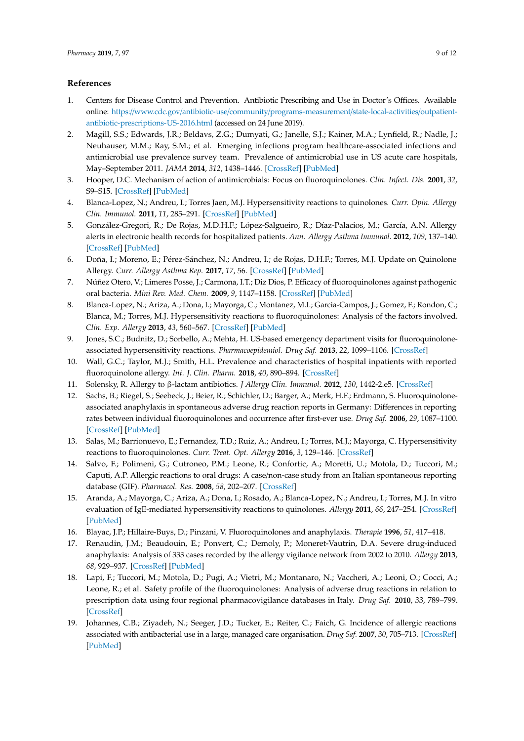# **References**

- <span id="page-10-0"></span>1. Centers for Disease Control and Prevention. Antibiotic Prescribing and Use in Doctor's Offices. Available online: https://www.cdc.gov/antibiotic-use/community/[programs-measurement](https://www.cdc.gov/antibiotic-use/community/programs-measurement/state-local-activities/outpatient-antibiotic-prescriptions-US-2016.html)/state-local-activities/outpatient[antibiotic-prescriptions-US-2016.html](https://www.cdc.gov/antibiotic-use/community/programs-measurement/state-local-activities/outpatient-antibiotic-prescriptions-US-2016.html) (accessed on 24 June 2019).
- <span id="page-10-1"></span>2. Magill, S.S.; Edwards, J.R.; Beldavs, Z.G.; Dumyati, G.; Janelle, S.J.; Kainer, M.A.; Lynfield, R.; Nadle, J.; Neuhauser, M.M.; Ray, S.M.; et al. Emerging infections program healthcare-associated infections and antimicrobial use prevalence survey team. Prevalence of antimicrobial use in US acute care hospitals, May–September 2011. *JAMA* **2014**, *312*, 1438–1446. [\[CrossRef\]](http://dx.doi.org/10.1001/jama.2014.12923) [\[PubMed\]](http://www.ncbi.nlm.nih.gov/pubmed/25291579)
- <span id="page-10-2"></span>3. Hooper, D.C. Mechanism of action of antimicrobials: Focus on fluoroquinolones. *Clin. Infect. Dis.* **2001**, *32*, S9–S15. [\[CrossRef\]](http://dx.doi.org/10.1086/319370) [\[PubMed\]](http://www.ncbi.nlm.nih.gov/pubmed/11249823)
- <span id="page-10-3"></span>4. Blanca-Lopez, N.; Andreu, I.; Torres Jaen, M.J. Hypersensitivity reactions to quinolones. *Curr. Opin. Allergy Clin. Immunol.* **2011**, *11*, 285–291. [\[CrossRef\]](http://dx.doi.org/10.1097/ACI.0b013e3283489bc3) [\[PubMed\]](http://www.ncbi.nlm.nih.gov/pubmed/21659860)
- <span id="page-10-18"></span>5. González-Gregori, R.; De Rojas, M.D.H.F.; López-Salgueiro, R.; Díaz-Palacios, M.; García, A.N. Allergy alerts in electronic health records for hospitalized patients. *Ann. Allergy Asthma Immunol.* **2012**, *109*, 137–140. [\[CrossRef\]](http://dx.doi.org/10.1016/j.anai.2012.06.006) [\[PubMed\]](http://www.ncbi.nlm.nih.gov/pubmed/22840256)
- <span id="page-10-4"></span>6. Doña, I.; Moreno, E.; Pérez-Sánchez, N.; Andreu, I.; de Rojas, D.H.F.; Torres, M.J. Update on Quinolone Allergy. *Curr. Allergy Asthma Rep.* **2017**, *17*, 56. [\[CrossRef\]](http://dx.doi.org/10.1007/s11882-017-0725-y) [\[PubMed\]](http://www.ncbi.nlm.nih.gov/pubmed/28752367)
- <span id="page-10-5"></span>7. Núñez Otero, V.; Limeres Posse, J.; Carmona, I.T.; Diz Dios, P. Efficacy of fluoroquinolones against pathogenic oral bacteria. *Mini Rev. Med. Chem.* **2009**, *9*, 1147–1158. [\[CrossRef\]](http://dx.doi.org/10.2174/138955709789055243) [\[PubMed\]](http://www.ncbi.nlm.nih.gov/pubmed/19534690)
- <span id="page-10-6"></span>8. Blanca-Lopez, N.; Ariza, A.; Dona, I.; Mayorga, C.; Montanez, M.I.; Garcia-Campos, J.; Gomez, F.; Rondon, C.; Blanca, M.; Torres, M.J. Hypersensitivity reactions to fluoroquinolones: Analysis of the factors involved. *Clin. Exp. Allergy* **2013**, *43*, 560–567. [\[CrossRef\]](http://dx.doi.org/10.1111/cea.12099) [\[PubMed\]](http://www.ncbi.nlm.nih.gov/pubmed/23600547)
- <span id="page-10-7"></span>9. Jones, S.C.; Budnitz, D.; Sorbello, A.; Mehta, H. US-based emergency department visits for fluoroquinoloneassociated hypersensitivity reactions. *Pharmacoepidemiol. Drug Saf.* **2013**, *22*, 1099–1106. [\[CrossRef\]](http://dx.doi.org/10.1002/pds.3499)
- <span id="page-10-8"></span>10. Wall, G.C.; Taylor, M.J.; Smith, H.L. Prevalence and characteristics of hospital inpatients with reported fluoroquinolone allergy. *Int. J. Clin. Pharm.* **2018**, *40*, 890–894. [\[CrossRef\]](http://dx.doi.org/10.1007/s11096-018-0613-0)
- <span id="page-10-9"></span>11. Solensky, R. Allergy to β-lactam antibiotics. *J Allergy Clin. Immunol.* **2012**, *130*, 1442-2.e5. [\[CrossRef\]](http://dx.doi.org/10.1016/j.jaci.2012.08.021)
- <span id="page-10-10"></span>12. Sachs, B.; Riegel, S.; Seebeck, J.; Beier, R.; Schichler, D.; Barger, A.; Merk, H.F.; Erdmann, S. Fluoroquinoloneassociated anaphylaxis in spontaneous adverse drug reaction reports in Germany: Differences in reporting rates between individual fluoroquinolones and occurrence after first-ever use. *Drug Saf.* **2006**, *29*, 1087–1100. [\[CrossRef\]](http://dx.doi.org/10.2165/00002018-200629110-00008) [\[PubMed\]](http://www.ncbi.nlm.nih.gov/pubmed/17061914)
- <span id="page-10-11"></span>13. Salas, M.; Barrionuevo, E.; Fernandez, T.D.; Ruiz, A.; Andreu, I.; Torres, M.J.; Mayorga, C. Hypersensitivity reactions to fluoroquinolones. *Curr. Treat. Opt. Allergy* **2016**, *3*, 129–146. [\[CrossRef\]](http://dx.doi.org/10.1007/s40521-016-0079-z)
- <span id="page-10-12"></span>14. Salvo, F.; Polimeni, G.; Cutroneo, P.M.; Leone, R.; Confortic, A.; Moretti, U.; Motola, D.; Tuccori, M.; Caputi, A.P. Allergic reactions to oral drugs: A case/non-case study from an Italian spontaneous reporting database (GIF). *Pharmacol. Res.* **2008**, *58*, 202–207. [\[CrossRef\]](http://dx.doi.org/10.1016/j.phrs.2008.07.003)
- <span id="page-10-13"></span>15. Aranda, A.; Mayorga, C.; Ariza, A.; Dona, I.; Rosado, A.; Blanca-Lopez, N.; Andreu, I.; Torres, M.J. In vitro evaluation of IgE-mediated hypersensitivity reactions to quinolones. *Allergy* **2011**, *66*, 247–254. [\[CrossRef\]](http://dx.doi.org/10.1111/j.1398-9995.2010.02460.x) [\[PubMed\]](http://www.ncbi.nlm.nih.gov/pubmed/20722637)
- <span id="page-10-14"></span>16. Blayac, J.P.; Hillaire-Buys, D.; Pinzani, V. Fluoroquinolones and anaphylaxis. *Therapie* **1996**, *51*, 417–418.
- <span id="page-10-15"></span>17. Renaudin, J.M.; Beaudouin, E.; Ponvert, C.; Demoly, P.; Moneret-Vautrin, D.A. Severe drug-induced anaphylaxis: Analysis of 333 cases recorded by the allergy vigilance network from 2002 to 2010. *Allergy* **2013**, *68*, 929–937. [\[CrossRef\]](http://dx.doi.org/10.1111/all.12168) [\[PubMed\]](http://www.ncbi.nlm.nih.gov/pubmed/23741979)
- <span id="page-10-16"></span>18. Lapi, F.; Tuccori, M.; Motola, D.; Pugi, A.; Vietri, M.; Montanaro, N.; Vaccheri, A.; Leoni, O.; Cocci, A.; Leone, R.; et al. Safety profile of the fluoroquinolones: Analysis of adverse drug reactions in relation to prescription data using four regional pharmacovigilance databases in Italy. *Drug Saf.* **2010**, *33*, 789–799. [\[CrossRef\]](http://dx.doi.org/10.2165/11536810-000000000-00000)
- <span id="page-10-17"></span>19. Johannes, C.B.; Ziyadeh, N.; Seeger, J.D.; Tucker, E.; Reiter, C.; Faich, G. Incidence of allergic reactions associated with antibacterial use in a large, managed care organisation. *Drug Saf.* **2007**, *30*, 705–713. [\[CrossRef\]](http://dx.doi.org/10.2165/00002018-200730080-00007) [\[PubMed\]](http://www.ncbi.nlm.nih.gov/pubmed/17696583)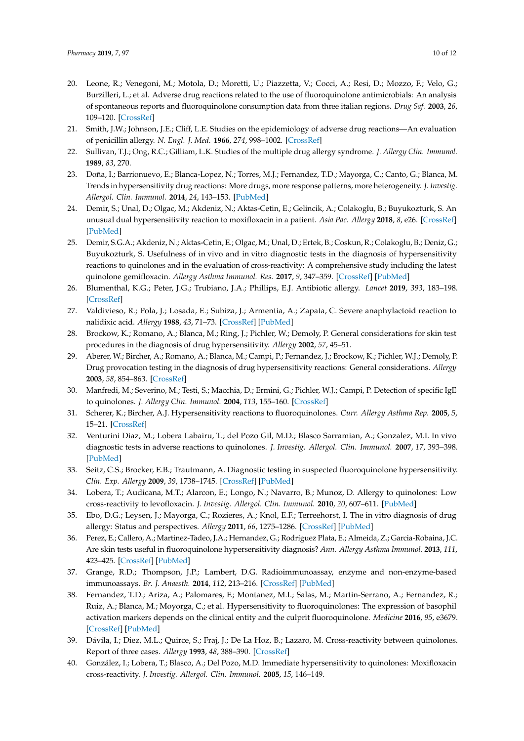- <span id="page-11-0"></span>20. Leone, R.; Venegoni, M.; Motola, D.; Moretti, U.; Piazzetta, V.; Cocci, A.; Resi, D.; Mozzo, F.; Velo, G.; Burzilleri, L.; et al. Adverse drug reactions related to the use of fluoroquinolone antimicrobials: An analysis of spontaneous reports and fluoroquinolone consumption data from three italian regions. *Drug Saf.* **2003**, *26*, 109–120. [\[CrossRef\]](http://dx.doi.org/10.2165/00002018-200326020-00004)
- <span id="page-11-1"></span>21. Smith, J.W.; Johnson, J.E.; Cliff, L.E. Studies on the epidemiology of adverse drug reactions—An evaluation of penicillin allergy. *N. Engl. J. Med.* **1966**, *274*, 998–1002. [\[CrossRef\]](http://dx.doi.org/10.1056/NEJM196605052741804)
- <span id="page-11-2"></span>22. Sullivan, T.J.; Ong, R.C.; Gilliam, L.K. Studies of the multiple drug allergy syndrome. *J. Allergy Clin. Immunol.* **1989**, *83*, 270.
- <span id="page-11-3"></span>23. Doña, I.; Barrionuevo, E.; Blanca-Lopez, N.; Torres, M.J.; Fernandez, T.D.; Mayorga, C.; Canto, G.; Blanca, M. Trends in hypersensitivity drug reactions: More drugs, more response patterns, more heterogeneity. *J. Investig. Allergol. Clin. Immunol.* **2014**, *24*, 143–153. [\[PubMed\]](http://www.ncbi.nlm.nih.gov/pubmed/25011351)
- <span id="page-11-4"></span>24. Demir, S.; Unal, D.; Olgac, M.; Akdeniz, N.; Aktas-Cetin, E.; Gelincik, A.; Colakoglu, B.; Buyukozturk, S. An unusual dual hypersensitivity reaction to moxifloxacin in a patient. *Asia Pac. Allergy* **2018**, *8*, e26. [\[CrossRef\]](http://dx.doi.org/10.5415/apallergy.2018.8.e26) [\[PubMed\]](http://www.ncbi.nlm.nih.gov/pubmed/30079304)
- <span id="page-11-5"></span>25. Demir, S.G.A.; Akdeniz, N.; Aktas-Cetin, E.; Olgac, M.; Unal, D.; Ertek, B.; Coskun, R.; Colakoglu, B.; Deniz, G.; Buyukozturk, S. Usefulness of in vivo and in vitro diagnostic tests in the diagnosis of hypersensitivity reactions to quinolones and in the evaluation of cross-reactivity: A comprehensive study including the latest quinolone gemifloxacin. *Allergy Asthma Immunol. Res.* **2017**, *9*, 347–359. [\[CrossRef\]](http://dx.doi.org/10.4168/aair.2017.9.4.347) [\[PubMed\]](http://www.ncbi.nlm.nih.gov/pubmed/28497922)
- <span id="page-11-6"></span>26. Blumenthal, K.G.; Peter, J.G.; Trubiano, J.A.; Phillips, E.J. Antibiotic allergy. *Lancet* **2019**, *393*, 183–198. [\[CrossRef\]](http://dx.doi.org/10.1016/S0140-6736(18)32218-9)
- <span id="page-11-7"></span>27. Valdivieso, R.; Pola, J.; Losada, E.; Subiza, J.; Armentia, A.; Zapata, C. Severe anaphylactoid reaction to nalidixic acid. *Allergy* **1988**, *43*, 71–73. [\[CrossRef\]](http://dx.doi.org/10.1111/j.1398-9995.1988.tb02046.x) [\[PubMed\]](http://www.ncbi.nlm.nih.gov/pubmed/3344937)
- <span id="page-11-14"></span>28. Brockow, K.; Romano, A.; Blanca, M.; Ring, J.; Pichler, W.; Demoly, P. General considerations for skin test procedures in the diagnosis of drug hypersensitivity. *Allergy* **2002**, *57*, 45–51.
- <span id="page-11-16"></span>29. Aberer, W.; Bircher, A.; Romano, A.; Blanca, M.; Campi, P.; Fernandez, J.; Brockow, K.; Pichler, W.J.; Demoly, P. Drug provocation testing in the diagnosis of drug hypersensitivity reactions: General considerations. *Allergy* **2003**, *58*, 854–863. [\[CrossRef\]](http://dx.doi.org/10.1034/j.1398-9995.2003.00279.x)
- <span id="page-11-9"></span>30. Manfredi, M.; Severino, M.; Testi, S.; Macchia, D.; Ermini, G.; Pichler, W.J.; Campi, P. Detection of specific IgE to quinolones. *J. Allergy Clin. Immunol.* **2004**, *113*, 155–160. [\[CrossRef\]](http://dx.doi.org/10.1016/j.jaci.2003.09.035)
- <span id="page-11-15"></span>31. Scherer, K.; Bircher, A.J. Hypersensitivity reactions to fluoroquinolones. *Curr. Allergy Asthma Rep.* **2005**, *5*, 15–21. [\[CrossRef\]](http://dx.doi.org/10.1007/s11882-005-0049-1)
- <span id="page-11-10"></span>32. Venturini Diaz, M.; Lobera Labairu, T.; del Pozo Gil, M.D.; Blasco Sarramian, A.; Gonzalez, M.I. In vivo diagnostic tests in adverse reactions to quinolones. *J. Investig. Allergol. Clin. Immunol.* **2007**, *17*, 393–398. [\[PubMed\]](http://www.ncbi.nlm.nih.gov/pubmed/18088022)
- <span id="page-11-11"></span>33. Seitz, C.S.; Brocker, E.B.; Trautmann, A. Diagnostic testing in suspected fluoroquinolone hypersensitivity. *Clin. Exp. Allergy* **2009**, *39*, 1738–1745. [\[CrossRef\]](http://dx.doi.org/10.1111/j.1365-2222.2009.03338.x) [\[PubMed\]](http://www.ncbi.nlm.nih.gov/pubmed/19735271)
- <span id="page-11-17"></span>34. Lobera, T.; Audicana, M.T.; Alarcon, E.; Longo, N.; Navarro, B.; Munoz, D. Allergy to quinolones: Low cross-reactivity to levofloxacin. *J. Investig. Allergol. Clin. Immunol.* **2010**, *20*, 607–611. [\[PubMed\]](http://www.ncbi.nlm.nih.gov/pubmed/21314003)
- <span id="page-11-12"></span>35. Ebo, D.G.; Leysen, J.; Mayorga, C.; Rozieres, A.; Knol, E.F.; Terreehorst, I. The in vitro diagnosis of drug allergy: Status and perspectives. *Allergy* **2011**, *66*, 1275–1286. [\[CrossRef\]](http://dx.doi.org/10.1111/j.1398-9995.2011.02661.x) [\[PubMed\]](http://www.ncbi.nlm.nih.gov/pubmed/21645014)
- <span id="page-11-13"></span>36. Perez, E.; Callero, A.; Martinez-Tadeo, J.A.; Hernandez, G.; Rodríguez Plata, E.; Almeida, Z.; Garcia-Robaina, J.C. Are skin tests useful in fluoroquinolone hypersensitivity diagnosis? *Ann. Allergy Asthma Immunol.* **2013**, *111*, 423–425. [\[CrossRef\]](http://dx.doi.org/10.1016/j.anai.2013.08.012) [\[PubMed\]](http://www.ncbi.nlm.nih.gov/pubmed/24125154)
- <span id="page-11-18"></span>37. Grange, R.D.; Thompson, J.P.; Lambert, D.G. Radioimmunoassay, enzyme and non-enzyme-based immunoassays. *Br. J. Anaesth.* **2014**, *112*, 213–216. [\[CrossRef\]](http://dx.doi.org/10.1093/bja/aet293) [\[PubMed\]](http://www.ncbi.nlm.nih.gov/pubmed/24431350)
- <span id="page-11-8"></span>38. Fernandez, T.D.; Ariza, A.; Palomares, F.; Montanez, M.I.; Salas, M.; Martin-Serrano, A.; Fernandez, R.; Ruiz, A.; Blanca, M.; Moyorga, C.; et al. Hypersensitivity to fluoroquinolones: The expression of basophil activation markers depends on the clinical entity and the culprit fluoroquinolone. *Medicine* **2016**, *95*, e3679. [\[CrossRef\]](http://dx.doi.org/10.1097/MD.0000000000003679) [\[PubMed\]](http://www.ncbi.nlm.nih.gov/pubmed/27281069)
- <span id="page-11-19"></span>39. Dávila, I.; Diez, M.L.; Quirce, S.; Fraj, J.; De La Hoz, B.; Lazaro, M. Cross-reactivity between quinolones. Report of three cases. *Allergy* **1993**, *48*, 388–390. [\[CrossRef\]](http://dx.doi.org/10.1111/j.1398-9995.1993.tb02413.x)
- <span id="page-11-20"></span>40. González, I.; Lobera, T.; Blasco, A.; Del Pozo, M.D. Immediate hypersensitivity to quinolones: Moxifloxacin cross-reactivity. *J. Investig. Allergol. Clin. Immunol.* **2005**, *15*, 146–149.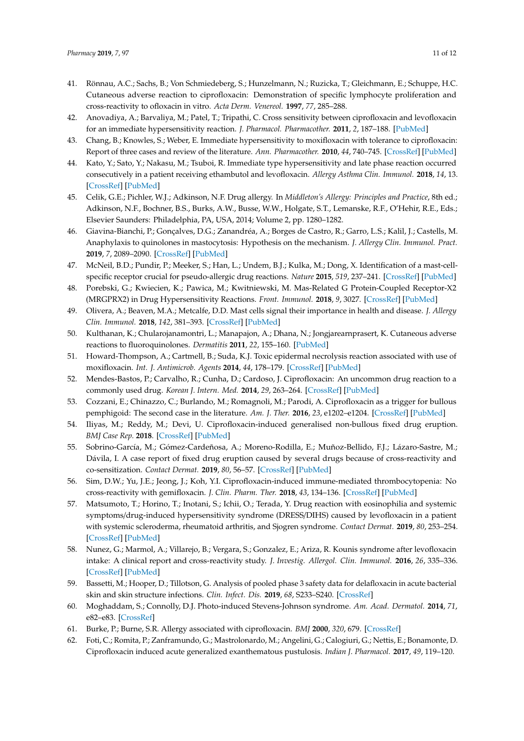- <span id="page-12-0"></span>41. Rönnau, A.C.; Sachs, B.; Von Schmiedeberg, S.; Hunzelmann, N.; Ruzicka, T.; Gleichmann, E.; Schuppe, H.C. Cutaneous adverse reaction to ciprofloxacin: Demonstration of specific lymphocyte proliferation and cross-reactivity to ofloxacin in vitro. *Acta Derm. Venereol.* **1997**, *77*, 285–288.
- <span id="page-12-1"></span>42. Anovadiya, A.; Barvaliya, M.; Patel, T.; Tripathi, C. Cross sensitivity between ciprofloxacin and levofloxacin for an immediate hypersensitivity reaction. *J. Pharmacol. Pharmacother.* **2011**, *2*, 187–188. [\[PubMed\]](http://www.ncbi.nlm.nih.gov/pubmed/21897714)
- <span id="page-12-2"></span>43. Chang, B.; Knowles, S.; Weber, E. Immediate hypersensitivity to moxifloxacin with tolerance to ciprofloxacin: Report of three cases and review of the literature. *Ann. Pharmacother.* **2010**, *44*, 740–745. [\[CrossRef\]](http://dx.doi.org/10.1345/aph.1M579) [\[PubMed\]](http://www.ncbi.nlm.nih.gov/pubmed/20233910)
- <span id="page-12-3"></span>44. Kato, Y.; Sato, Y.; Nakasu, M.; Tsuboi, R. Immediate type hypersensitivity and late phase reaction occurred consecutively in a patient receiving ethambutol and levofloxacin. *Allergy Asthma Clin. Immunol.* **2018**, *14*, 13. [\[CrossRef\]](http://dx.doi.org/10.1186/s13223-018-0237-x) [\[PubMed\]](http://www.ncbi.nlm.nih.gov/pubmed/29619062)
- <span id="page-12-4"></span>45. Celik, G.E.; Pichler, W.J.; Adkinson, N.F. Drug allergy. In *Middleton's Allergy: Principles and Practice*, 8th ed.; Adkinson, N.F., Bochner, B.S., Burks, A.W., Busse, W.W., Holgate, S.T., Lemanske, R.F., O'Hehir, R.E., Eds.; Elsevier Saunders: Philadelphia, PA, USA, 2014; Volume 2, pp. 1280–1282.
- <span id="page-12-5"></span>46. Giavina-Bianchi, P.; Gonçalves, D.G.; Zanandréa, A.; Borges de Castro, R.; Garro, L.S.; Kalil, J.; Castells, M. Anaphylaxis to quinolones in mastocytosis: Hypothesis on the mechanism. *J. Allergy Clin. Immunol. Pract.* **2019**, *7*, 2089–2090. [\[CrossRef\]](http://dx.doi.org/10.1016/j.jaip.2019.01.059) [\[PubMed\]](http://www.ncbi.nlm.nih.gov/pubmed/30797080)
- 47. McNeil, B.D.; Pundir, P.; Meeker, S.; Han, L.; Undem, B.J.; Kulka, M.; Dong, X. Identification of a mast-cellspecific receptor crucial for pseudo-allergic drug reactions. *Nature* **2015**, *519*, 237–241. [\[CrossRef\]](http://dx.doi.org/10.1038/nature14022) [\[PubMed\]](http://www.ncbi.nlm.nih.gov/pubmed/25517090)
- <span id="page-12-6"></span>48. Porebski, G.; Kwiecien, K.; Pawica, M.; Kwitniewski, M. Mas-Related G Protein-Coupled Receptor-X2 (MRGPRX2) in Drug Hypersensitivity Reactions. *Front. Immunol.* **2018**, *9*, 3027. [\[CrossRef\]](http://dx.doi.org/10.3389/fimmu.2018.03027) [\[PubMed\]](http://www.ncbi.nlm.nih.gov/pubmed/30619367)
- <span id="page-12-7"></span>49. Olivera, A.; Beaven, M.A.; Metcalfe, D.D. Mast cells signal their importance in health and disease. *J. Allergy Clin. Immunol.* **2018**, *142*, 381–393. [\[CrossRef\]](http://dx.doi.org/10.1016/j.jaci.2018.01.034) [\[PubMed\]](http://www.ncbi.nlm.nih.gov/pubmed/29454835)
- <span id="page-12-8"></span>50. Kulthanan, K.; Chularojanamontri, L.; Manapajon, A.; Dhana, N.; Jongjarearnprasert, K. Cutaneous adverse reactions to fluoroquinolones. *Dermatitis* **2011**, *22*, 155–160. [\[PubMed\]](http://www.ncbi.nlm.nih.gov/pubmed/21569745)
- <span id="page-12-9"></span>51. Howard-Thompson, A.; Cartmell, B.; Suda, K.J. Toxic epidermal necrolysis reaction associated with use of moxifloxacin. *Int. J. Antimicrob. Agents* **2014**, *44*, 178–179. [\[CrossRef\]](http://dx.doi.org/10.1016/j.ijantimicag.2014.04.002) [\[PubMed\]](http://www.ncbi.nlm.nih.gov/pubmed/25052867)
- <span id="page-12-10"></span>52. Mendes-Bastos, P.; Carvalho, R.; Cunha, D.; Cardoso, J. Ciprofloxacin: An uncommon drug reaction to a commonly used drug. *Korean J. Intern. Med.* **2014**, *29*, 263–264. [\[CrossRef\]](http://dx.doi.org/10.3904/kjim.2014.29.2.263) [\[PubMed\]](http://www.ncbi.nlm.nih.gov/pubmed/24648816)
- 53. Cozzani, E.; Chinazzo, C.; Burlando, M.; Romagnoli, M.; Parodi, A. Ciprofloxacin as a trigger for bullous pemphigoid: The second case in the literature. *Am. J. Ther.* **2016**, *23*, e1202–e1204. [\[CrossRef\]](http://dx.doi.org/10.1097/MJT.0000000000000283) [\[PubMed\]](http://www.ncbi.nlm.nih.gov/pubmed/26164023)
- 54. Iliyas, M.; Reddy, M.; Devi, U. Ciprofloxacin-induced generalised non-bullous fixed drug eruption. *BMJ Case Rep.* **2018**. [\[CrossRef\]](http://dx.doi.org/10.1136/bcr-2018-224858) [\[PubMed\]](http://www.ncbi.nlm.nih.gov/pubmed/29866687)
- <span id="page-12-11"></span>55. Sobrino-García, M.; Gómez-Cardeñosa, A.; Moreno-Rodilla, E.; Muñoz-Bellido, F.J.; Lázaro-Sastre, M.; Dávila, I. A case report of fixed drug eruption caused by several drugs because of cross-reactivity and co-sensitization. *Contact Dermat.* **2019**, *80*, 56–57. [\[CrossRef\]](http://dx.doi.org/10.1111/cod.13115) [\[PubMed\]](http://www.ncbi.nlm.nih.gov/pubmed/30246872)
- <span id="page-12-12"></span>56. Sim, D.W.; Yu, J.E.; Jeong, J.; Koh, Y.I. Ciprofloxacin-induced immune-mediated thrombocytopenia: No cross-reactivity with gemifloxacin. *J. Clin. Pharm. Ther.* **2018**, *43*, 134–136. [\[CrossRef\]](http://dx.doi.org/10.1111/jcpt.12596) [\[PubMed\]](http://www.ncbi.nlm.nih.gov/pubmed/28791716)
- <span id="page-12-13"></span>57. Matsumoto, T.; Horino, T.; Inotani, S.; Ichii, O.; Terada, Y. Drug reaction with eosinophilia and systemic symptoms/drug-induced hypersensitivity syndrome (DRESS/DIHS) caused by levofloxacin in a patient with systemic scleroderma, rheumatoid arthritis, and Sjogren syndrome. *Contact Dermat.* **2019**, *80*, 253–254. [\[CrossRef\]](http://dx.doi.org/10.1111/cod.13188) [\[PubMed\]](http://www.ncbi.nlm.nih.gov/pubmed/30484869)
- <span id="page-12-14"></span>58. Nunez, G.; Marmol, A.; Villarejo, B.; Vergara, S.; Gonzalez, E.; Ariza, R. Kounis syndrome after levofloxacin intake: A clinical report and cross-reactivity study. *J. Investig. Allergol. Clin. Immunol.* **2016**, *26*, 335–336. [\[CrossRef\]](http://dx.doi.org/10.18176/jiaci.0091) [\[PubMed\]](http://www.ncbi.nlm.nih.gov/pubmed/27763868)
- <span id="page-12-15"></span>59. Bassetti, M.; Hooper, D.; Tillotson, G. Analysis of pooled phase 3 safety data for delafloxacin in acute bacterial skin and skin structure infections. *Clin. Infect. Dis.* **2019**, *68*, S233–S240. [\[CrossRef\]](http://dx.doi.org/10.1093/cid/ciy1080)
- <span id="page-12-16"></span>60. Moghaddam, S.; Connolly, D.J. Photo-induced Stevens-Johnson syndrome. *Am. Acad. Dermatol.* **2014**, *71*, e82–e83. [\[CrossRef\]](http://dx.doi.org/10.1016/j.jaad.2014.02.033)
- <span id="page-12-17"></span>61. Burke, P.; Burne, S.R. Allergy associated with ciprofloxacin. *BMJ* **2000**, *320*, 679. [\[CrossRef\]](http://dx.doi.org/10.1136/bmj.320.7236.679)
- <span id="page-12-18"></span>62. Foti, C.; Romita, P.; Zanframundo, G.; Mastrolonardo, M.; Angelini, G.; Calogiuri, G.; Nettis, E.; Bonamonte, D. Ciprofloxacin induced acute generalized exanthematous pustulosis. *Indian J. Pharmacol.* **2017**, *49*, 119–120.